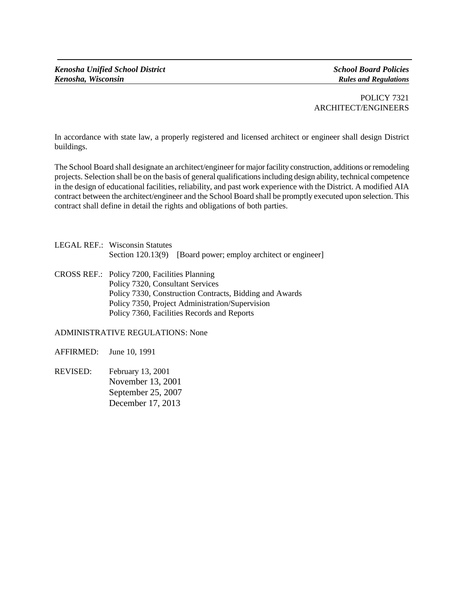POLICY 7321 ARCHITECT/ENGINEERS

In accordance with state law, a properly registered and licensed architect or engineer shall design District buildings.

The School Board shall designate an architect/engineer for major facility construction, additions or remodeling projects. Selection shall be on the basis of general qualifications including design ability, technical competence in the design of educational facilities, reliability, and past work experience with the District. A modified AIA contract between the architect/engineer and the School Board shall be promptly executed upon selection. This contract shall define in detail the rights and obligations of both parties.

| <b>LEGAL REF.: Wisconsin Statutes</b> |                                                               |
|---------------------------------------|---------------------------------------------------------------|
|                                       | Section 120.13(9) [Board power; employ architect or engineer] |

CROSS REF.: Policy 7200, Facilities Planning Policy 7320, Consultant Services Policy 7330, Construction Contracts, Bidding and Awards Policy 7350, Project Administration/Supervision Policy 7360, Facilities Records and Reports

## ADMINISTRATIVE REGULATIONS: None

AFFIRMED: June 10, 1991

REVISED: February 13, 2001 November 13, 2001 September 25, 2007 December 17, 2013